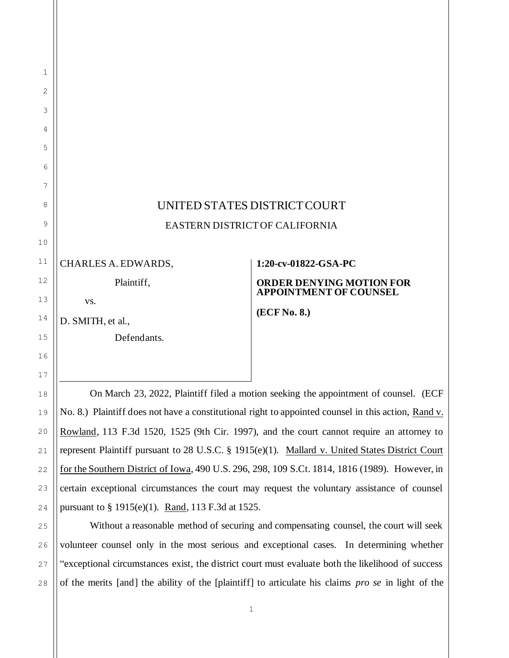## UNITED STATES DISTRICT COURT EASTERN DISTRICT OF CALIFORNIA

CHARLES A. EDWARDS,

Plaintiff,

vs.

D. SMITH, et al.,

Defendants.

## **1:20-cv-01822-GSA-PC**

## **ORDER DENYING MOTION FOR APPOINTMENT OF COUNSEL**

**(ECF No. 8.)**

On March 23, 2022, Plaintiff filed a motion seeking the appointment of counsel. (ECF No. 8.) Plaintiff does not have a constitutional right to appointed counsel in this action, Rand v. Rowland, 113 F.3d 1520, 1525 (9th Cir. 1997), and the court cannot require an attorney to represent Plaintiff pursuant to 28 U.S.C. § 1915(e)(1). Mallard v. United States District Court for the Southern District of Iowa, 490 U.S. 296, 298, 109 S.Ct. 1814, 1816 (1989). However, in certain exceptional circumstances the court may request the voluntary assistance of counsel pursuant to § 1915(e)(1). Rand, 113 F.3d at 1525.

Without a reasonable method of securing and compensating counsel, the court will seek volunteer counsel only in the most serious and exceptional cases. In determining whether "exceptional circumstances exist, the district court must evaluate both the likelihood of success of the merits [and] the ability of the [plaintiff] to articulate his claims *pro se* in light of the